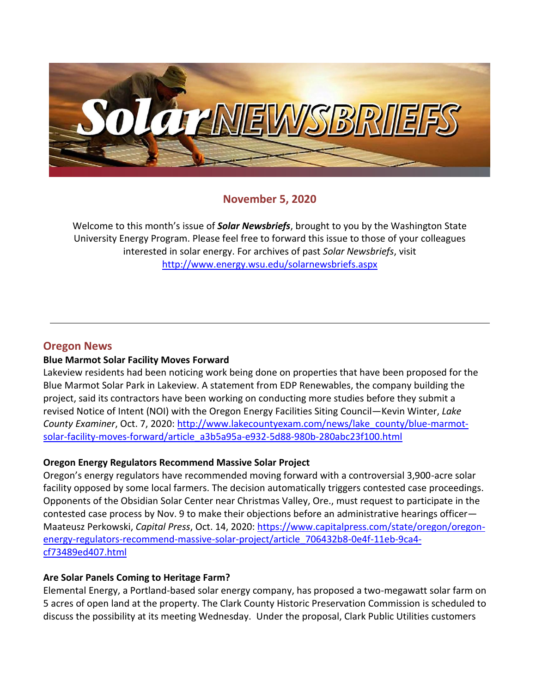

## **November 5, 2020**

Welcome to this month's issue of *Solar Newsbriefs*, brought to you by the Washington State University Energy Program. Please feel free to forward this issue to those of your colleagues interested in solar energy. For archives of past *Solar Newsbriefs*, visit <http://www.energy.wsu.edu/solarnewsbriefs.aspx>

### **Oregon News**

### **Blue Marmot Solar Facility Moves Forward**

Lakeview residents had been noticing work being done on properties that have been proposed for the Blue Marmot Solar Park in Lakeview. A statement from EDP Renewables, the company building the project, said its contractors have been working on conducting more studies before they submit a revised Notice of Intent (NOI) with the Oregon Energy Facilities Siting Council—Kevin Winter, *Lake County Examiner*, Oct. 7, 2020: [http://www.lakecountyexam.com/news/lake\\_county/blue-marmot](http://www.lakecountyexam.com/news/lake_county/blue-marmot-solar-facility-moves-forward/article_a3b5a95a-e932-5d88-980b-280abc23f100.html)[solar-facility-moves-forward/article\\_a3b5a95a-e932-5d88-980b-280abc23f100.html](http://www.lakecountyexam.com/news/lake_county/blue-marmot-solar-facility-moves-forward/article_a3b5a95a-e932-5d88-980b-280abc23f100.html)

### **Oregon Energy Regulators Recommend Massive Solar Project**

Oregon's energy regulators have recommended moving forward with a controversial 3,900-acre solar facility opposed by some local farmers. The decision automatically triggers contested case proceedings. Opponents of the Obsidian Solar Center near Christmas Valley, Ore., must request to participate in the contested case process by Nov. 9 to make their objections before an administrative hearings officer— Maateusz Perkowski, *Capital Press*, Oct. 14, 2020: [https://www.capitalpress.com/state/oregon/oregon](https://www.capitalpress.com/state/oregon/oregon-energy-regulators-recommend-massive-solar-project/article_706432b8-0e4f-11eb-9ca4-cf73489ed407.html)[energy-regulators-recommend-massive-solar-project/article\\_706432b8-0e4f-11eb-9ca4](https://www.capitalpress.com/state/oregon/oregon-energy-regulators-recommend-massive-solar-project/article_706432b8-0e4f-11eb-9ca4-cf73489ed407.html) [cf73489ed407.html](https://www.capitalpress.com/state/oregon/oregon-energy-regulators-recommend-massive-solar-project/article_706432b8-0e4f-11eb-9ca4-cf73489ed407.html)

### **Are Solar Panels Coming to Heritage Farm?**

Elemental Energy, a Portland-based solar energy company, has proposed a two-megawatt solar farm on 5 acres of open land at the property. The Clark County Historic Preservation Commission is scheduled to discuss the possibility at its meeting Wednesday. Under [the proposal,](https://clark.wa.gov/sites/default/files/media/document/2020-10/Heritage%20Farms%20community%20solar%20project.pdf) Clark Public Utilities customers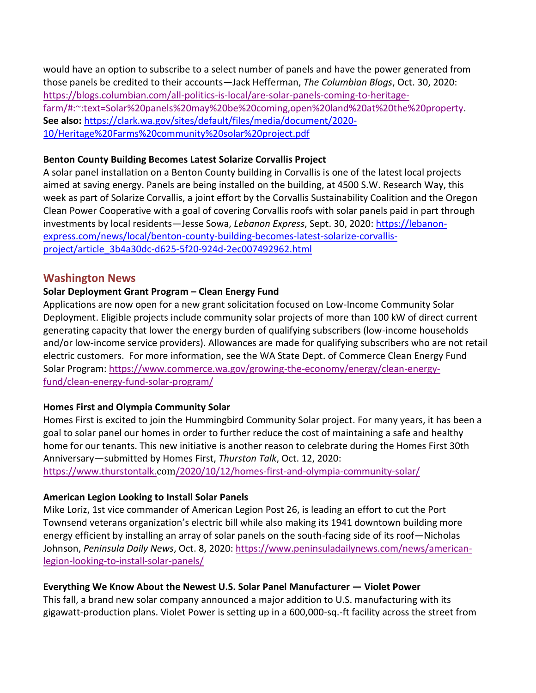would have an option to subscribe to a select number of panels and have the power generated from those panels be credited to their accounts—Jack Hefferman, *The Columbian Blogs*, Oct. 30, 2020: [https://blogs.columbian.com/all-politics-is-local/are-solar-panels-coming-to-heritage](https://blogs.columbian.com/all-politics-is-local/are-solar-panels-coming-to-heritage-farm/#:~:text=Solar%20panels%20may%20be%20coming,open%20land%20at%20the%20property)[farm/#:~:text=Solar%20panels%20may%20be%20coming,open%20land%20at%20the%20property.](https://blogs.columbian.com/all-politics-is-local/are-solar-panels-coming-to-heritage-farm/#:~:text=Solar%20panels%20may%20be%20coming,open%20land%20at%20the%20property) **See also:** [https://clark.wa.gov/sites/default/files/media/document/2020-](https://clark.wa.gov/sites/default/files/media/document/2020-10/Heritage%20Farms%20community%20solar%20project.pdf) [10/Heritage%20Farms%20community%20solar%20project.pdf](https://clark.wa.gov/sites/default/files/media/document/2020-10/Heritage%20Farms%20community%20solar%20project.pdf) 

#### **Benton County Building Becomes Latest Solarize Corvallis Project**

A solar panel installation on a Benton County building in Corvallis is one of the latest local projects aimed at saving energy. Panels are being installed on the building, at 4500 S.W. Research Way, this week as part of Solarize Corvallis, a joint effort by the Corvallis Sustainability Coalition and the Oregon Clean Power Cooperative with a goal of covering Corvallis roofs with solar panels paid in part through investments by local residents—Jesse Sowa, *Lebanon Express*, Sept. 30, 2020: [https://lebanon](https://lebanon-express.com/news/local/benton-county-building-becomes-latest-solarize-corvallis-project/article_3b4a30dc-d625-5f20-924d-2ec007492962.html)[express.com/news/local/benton-county-building-becomes-latest-solarize-corvallis](https://lebanon-express.com/news/local/benton-county-building-becomes-latest-solarize-corvallis-project/article_3b4a30dc-d625-5f20-924d-2ec007492962.html)[project/article\\_3b4a30dc-d625-5f20-924d-2ec007492962.html](https://lebanon-express.com/news/local/benton-county-building-becomes-latest-solarize-corvallis-project/article_3b4a30dc-d625-5f20-924d-2ec007492962.html)

### **Washington News**

### **Solar Deployment Grant Program – Clean Energy Fund**

Applications are now open for a new grant solicitation focused on Low-Income Community Solar Deployment. Eligible projects include community solar projects of more than 100 kW of direct current generating capacity that lower the energy burden of qualifying subscribers (low-income households and/or low-income service providers). Allowances are made for qualifying subscribers who are not retail electric customers. For more information, see the WA State Dept. of Commerce Clean Energy Fund Solar Program: [https://www.commerce.wa.gov/growing-the-economy/energy/clean-energy](https://www.commerce.wa.gov/growing-the-economy/energy/clean-energy-fund/clean-energy-fund-solar-program/)[fund/clean-energy-fund-solar-program/](https://www.commerce.wa.gov/growing-the-economy/energy/clean-energy-fund/clean-energy-fund-solar-program/)

### **Homes First and Olympia Community Solar**

Homes First is excited to join the [Hummingbird Community Solar project.](https://olysol.org/hummingbird-project/) For many years, it has been a goal to solar panel our homes in order to further reduce the cost of maintaining a safe and healthy home for our tenants. This new initiative is another reason to celebrate during the Homes First 30th Anniversary—submitted by Homes First, *Thurston Talk*, Oct. 12, 2020:

https://www.thurstontalk.com[/2020/10/12/homes-first-and-olympia-community-solar/](https://www.thurstontalk.com/2020/10/12/homes-first-and-olympia-community-solar/)

### **American Legion Looking to Install Solar Panels**

Mike Loriz, 1st vice commander of American Legion Post 26, is leading an effort to cut the Port Townsend veterans organization's electric bill while also making its 1941 downtown building more energy efficient by installing an array of solar panels on the south-facing side of its roof—Nicholas Johnson, *Peninsula Daily News*, Oct. 8, 2020: [https://www.peninsuladailynews.com/news/american](https://www.peninsuladailynews.com/news/american-legion-looking-to-install-solar-panels/)[legion-looking-to-install-solar-panels/](https://www.peninsuladailynews.com/news/american-legion-looking-to-install-solar-panels/)

### **Everything We Know About the Newest U.S. Solar Panel Manufacturer — Violet Power**

This fall, a brand new solar company announced a major addition to U.S. manufacturing with its gigawatt-production plans. [Violet Power](https://www.solarpowerworldonline.com/2020/09/violet-power-to-bring-american-solar-cell-and-panel-manufacturing-to-washington-by-end-of-2021/) is setting up in a 600,000-sq.-ft facility across the street from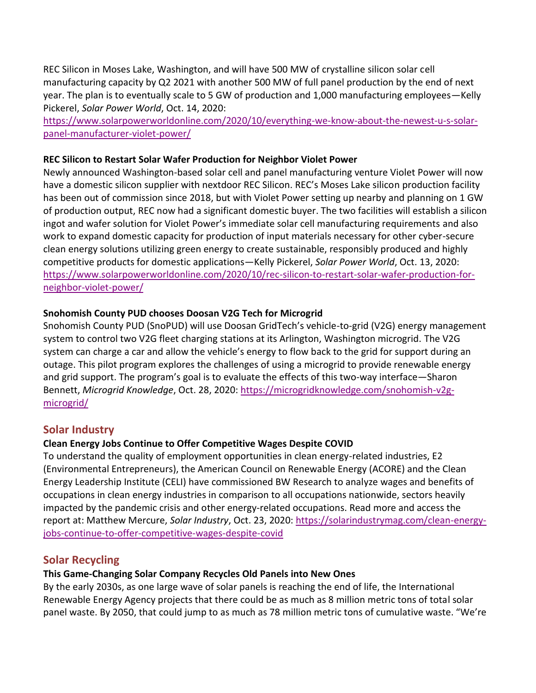REC Silicon in Moses Lake, Washington, and will have 500 MW of crystalline silicon solar cell manufacturing capacity by Q2 2021 with another 500 MW of full panel production by the end of next year. The plan is to eventually scale to 5 GW of production and 1,000 manufacturing employees—Kelly Pickerel, *Solar Power World*, Oct. 14, 2020:

[https://www.solarpowerworldonline.com/2020/10/everything-we-know-about-the-newest-u-s-solar](https://www.solarpowerworldonline.com/2020/10/everything-we-know-about-the-newest-u-s-solar-panel-manufacturer-violet-power/)[panel-manufacturer-violet-power/](https://www.solarpowerworldonline.com/2020/10/everything-we-know-about-the-newest-u-s-solar-panel-manufacturer-violet-power/)

#### **REC Silicon to Restart Solar Wafer Production for Neighbor Violet Power**

Newly announced Washington-based solar cell and panel manufacturing venture Violet Power will now have a domestic silicon supplier with nextdoor REC Silicon. REC's Moses Lake silicon production facility has been [out of commission since 2018,](https://www.solarpowerworldonline.com/2018/07/rec-silicon-to-lay-off-100-employees-at-washington-polysilicon-production-facility/) but with [Violet Power setting up nearby](https://www.solarpowerworldonline.com/2020/09/violet-power-to-bring-american-solar-cell-and-panel-manufacturing-to-washington-by-end-of-2021/) and planning on 1 GW of production output, REC now had a significant domestic buyer. The two facilities will establish a silicon ingot and wafer solution for Violet Power's immediate solar cell manufacturing requirements and also work to expand domestic capacity for production of input materials necessary for other cyber-secure clean energy solutions utilizing green energy to create sustainable, responsibly produced and highly competitive products for domestic applications—Kelly Pickerel, *Solar Power World*, Oct. 13, 2020: [https://www.solarpowerworldonline.com/2020/10/rec-silicon-to-restart-solar-wafer-production-for](https://www.solarpowerworldonline.com/2020/10/rec-silicon-to-restart-solar-wafer-production-for-neighbor-violet-power/)[neighbor-violet-power/](https://www.solarpowerworldonline.com/2020/10/rec-silicon-to-restart-solar-wafer-production-for-neighbor-violet-power/)

### **Snohomish County PUD chooses Doosan V2G Tech for Microgrid**

Snohomish County PUD (SnoPUD) will use Doosan GridTech's vehicle-to-grid (V2G) energy management system to control two V2G fleet charging stations at its Arlington, Washington microgrid. The V2G system can charge a car and allow the vehicle's energy to flow back to the grid for support during an outage. This pilot program explores the challenges of using a microgrid to provide renewable energy and grid support. The program's goal is to evaluate the effects of this two-way interface—Sharon Bennett, *Microgrid Knowledge*, Oct. 28, 2020: [https://microgridknowledge.com/snohomish-v2g](https://microgridknowledge.com/snohomish-v2g-microgrid/)[microgrid/](https://microgridknowledge.com/snohomish-v2g-microgrid/)

## **Solar Industry**

### **Clean Energy Jobs Continue to Offer Competitive Wages Despite COVID**

To understand the quality of employment opportunities in clean energy-related industries, E2 (Environmental Entrepreneurs), the American Council on Renewable Energy (ACORE) and the Clean Energy Leadership Institute (CELI) have commissioned BW Research to analyze wages and benefits of occupations in clean energy industries in comparison to all occupations nationwide, sectors heavily impacted by the pandemic crisis and other energy-related occupations. Read more and access the report at: Matthew Mercure, *Solar Industry*, Oct. 23, 2020: [https://solarindustrymag.com/clean-energy](https://solarindustrymag.com/clean-energy-jobs-continue-to-offer-competitive-wages-despite-covid)[jobs-continue-to-offer-competitive-wages-despite-covid](https://solarindustrymag.com/clean-energy-jobs-continue-to-offer-competitive-wages-despite-covid)

## **Solar Recycling**

### **This Game-Changing Solar Company Recycles Old Panels into New Ones**

By the early 2030s, as one large wave of solar panels is reaching the end of life, the International Renewable Energy Agency projects that there could be as much as 8 million metric tons of total solar panel waste. By 2050, that could jump to as much as 78 million metric tons of cumulative waste. "We're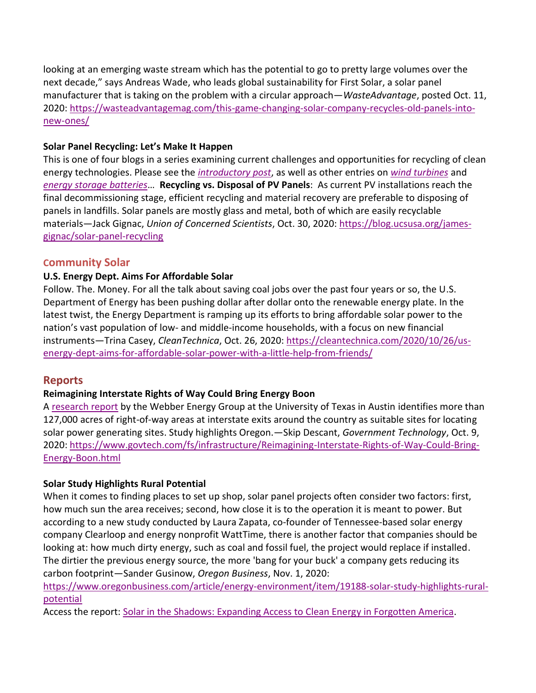looking at an emerging waste stream which has the potential to go to pretty large volumes over the next decade," says Andreas Wade, who leads global sustainability for First Solar, a solar panel manufacturer that is taking on the problem with a circular approach—*WasteAdvantage*, posted Oct. 11, 2020: [https://wasteadvantagemag.com/this-game-changing-solar-company-recycles-old-panels-into](https://wasteadvantagemag.com/this-game-changing-solar-company-recycles-old-panels-into-new-ones/)[new-ones/](https://wasteadvantagemag.com/this-game-changing-solar-company-recycles-old-panels-into-new-ones/)

### **Solar Panel Recycling: Let's Make It Happen**

This is one of four blogs in a series examining current challenges and opportunities for recycling of clean energy technologies. Please see the *[introductory post](https://blog.ucsusa.org/james-gignac/introducing-a-blog-series-on-recycling-clean-energy-technologies)*, as well as other entries on *[wind turbines](https://blog.ucsusa.org/james-gignac/wind-turbine-blades-recycling)* and *[energy storage](https://blog.ucsusa.org/james-gignac/recycling-energy-storage-batteries) batteries*… **Recycling vs. Disposal of PV Panels**: As current PV installations reach the final decommissioning stage, efficient recycling and material recovery are preferable to disposing of panels in landfills. Solar panels are mostly glass and metal, both of which are easily recyclable materials—Jack Gignac, *Union of Concerned Scientists*, Oct. 30, 2020[: https://blog.ucsusa.org/james](https://blog.ucsusa.org/james-gignac/solar-panel-recycling)[gignac/solar-panel-recycling](https://blog.ucsusa.org/james-gignac/solar-panel-recycling)

### **Community Solar**

### **U.S. Energy Dept. Aims For Affordable Solar**

Follow. The. Money. For all the talk about saving coal jobs over the past four years or so, the U.S. Department of Energy has been pushing dollar after dollar onto the renewable energy plate. In the latest twist, the Energy Department is ramping up its efforts to bring affordable solar power to the nation's vast population of low- and middle-income households, with a focus on new financial instruments—Trina Casey, *CleanTechnica*, Oct. 26, 2020: [https://cleantechnica.com/2020/10/26/us](https://cleantechnica.com/2020/10/26/us-energy-dept-aims-for-affordable-solar-power-with-a-little-help-from-friends/)[energy-dept-aims-for-affordable-solar-power-with-a-little-help-from-friends/](https://cleantechnica.com/2020/10/26/us-energy-dept-aims-for-affordable-solar-power-with-a-little-help-from-friends/)

## **Reports**

## **Reimagining Interstate Rights of Way Could Bring Energy Boon**

A [research report](https://theray.org/technology/solar/) by the Webber Energy Group at the University of Texas in Austin identifies more than 127,000 acres of right-of-way areas at interstate exits around the country as suitable sites for locating solar power generating sites. Study highlights Oregon.—Skip Descant, *Government Technology*, Oct. 9, 2020: [https://www.govtech.com/fs/infrastructure/Reimagining-Interstate-Rights-of-Way-Could-Bring-](https://www.govtech.com/fs/infrastructure/Reimagining-Interstate-Rights-of-Way-Could-Bring-Energy-Boon.html)[Energy-Boon.html](https://www.govtech.com/fs/infrastructure/Reimagining-Interstate-Rights-of-Way-Could-Bring-Energy-Boon.html)

### **Solar Study Highlights Rural Potential**

When it comes to finding places to set up shop, solar panel projects often consider two factors: first, how much sun the area receives; second, how close it is to the operation it is meant to power. But according to a new study conducted by Laura Zapata, co-founder of Tennessee-based solar energy company Clearloop and energy nonprofi[t WattTime,](https://www.watttime.org/) there is another factor that companies should be looking at: how much dirty energy, such as coal and fossil fuel, the project would replace if installed. The dirtier the previous energy source, the more 'bang for your buck' a company gets reducing its carbon footprint—Sander Gusinow, *Oregon Business*, Nov. 1, 2020:

[https://www.oregonbusiness.com/article/energy-environment/item/19188-solar-study-highlights-rural](https://www.oregonbusiness.com/article/energy-environment/item/19188-solar-study-highlights-rural-potential)[potential](https://www.oregonbusiness.com/article/energy-environment/item/19188-solar-study-highlights-rural-potential)

Access the report: [Solar in the Shadows: Expanding Access to Clean Energy in Forgotten America.](https://2fjc7g2oidjy31o56x3hc4kb-wpengine.netdna-ssl.com/wp-content/uploads/2020/09/White-Paper_-Solar-in-the-Shadows_-Expanding-Access-to-Clean-Energy-in-Forgotten-America-Sept-2020-7.pdf)